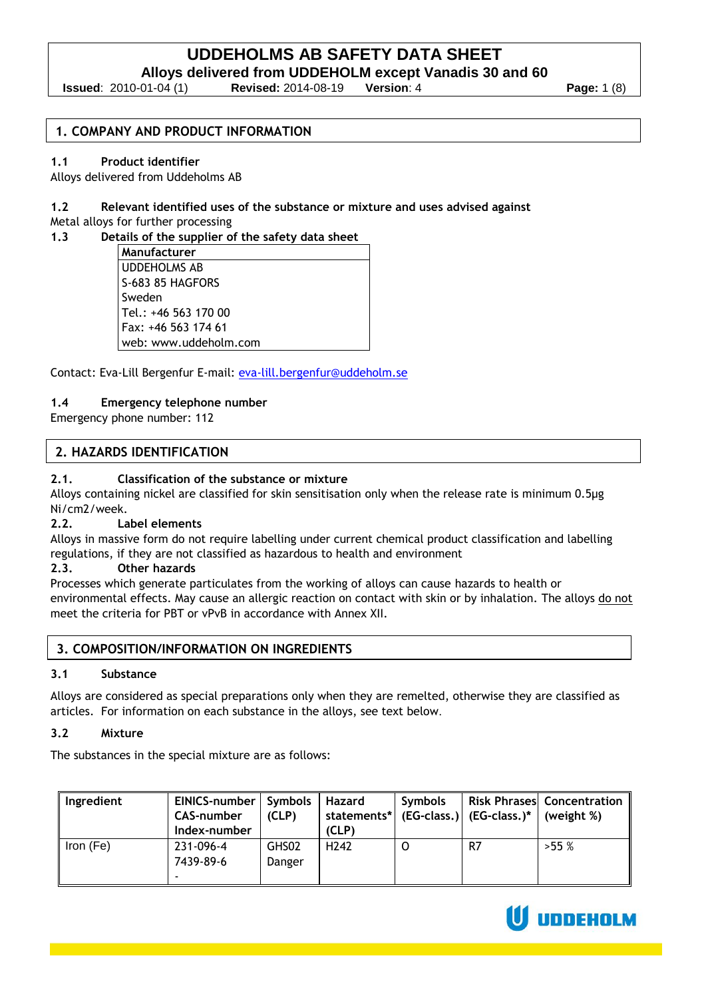**Alloys delivered from UDDEHOLM except Vanadis 30 and 60**

**Issued**: 2010-01-04 (1) **Revised:** 2014-08-19 **Version**: 4 **Page:** 1 (8)

#### **1. COMPANY AND PRODUCT INFORMATION**

#### **1.1 Product identifier**

Alloys delivered from Uddeholms AB

**1.2 Relevant identified uses of the substance or mixture and uses advised against**  Metal alloys for further processing

#### **1.3 Details of the supplier of the safety data sheet**

**Manufacturer** UDDEHOLMS AB S-683 85 HAGFORS Sweden Tel.: +46 563 170 00 Fax: +46 563 174 61 web: www.uddeholm.com

Contact: Eva-Lill Bergenfur E-mail: [eva-lill.bergenfur@uddeholm.se](mailto:eva-lill.bergenfur@uddeholm.se)

#### **1.4 Emergency telephone number**

Emergency phone number: 112

#### **2. HAZARDS IDENTIFICATION**

#### **2.1. Classification of the substance or mixture**

Alloys containing nickel are classified for skin sensitisation only when the release rate is minimum 0.5μg Ni/cm2/week.

#### **2.2. Label elements**

Alloys in massive form do not require labelling under current chemical product classification and labelling regulations, if they are not classified as hazardous to health and environment

#### **2.3. Other hazards**

Processes which generate particulates from the working of alloys can cause hazards to health or environmental effects. May cause an allergic reaction on contact with skin or by inhalation. The alloys do not meet the criteria for PBT or vPvB in accordance with Annex XII.

#### **3. COMPOSITION/INFORMATION ON INGREDIENTS**

# **3.1 Substance**

Alloys are considered as special preparations only when they are remelted, otherwise they are classified as articles. For information on each substance in the alloys, see text below.

#### **3.2 Mixture**

The substances in the special mixture are as follows:

| Ingredient | EINICS-number   Symbols<br><b>CAS-number</b><br>Index-number | (CLP)           | Hazard<br>(CLP)  | <b>Symbols</b> | statements* $  (EG-class.)   (EG-class.)^*   (weight%)$ | <b>Risk Phrases Concentration</b> |
|------------|--------------------------------------------------------------|-----------------|------------------|----------------|---------------------------------------------------------|-----------------------------------|
| Iron (Fe)  | 231-096-4<br>7439-89-6                                       | GHS02<br>Danger | H <sub>242</sub> |                | R7                                                      | $>55\%$                           |

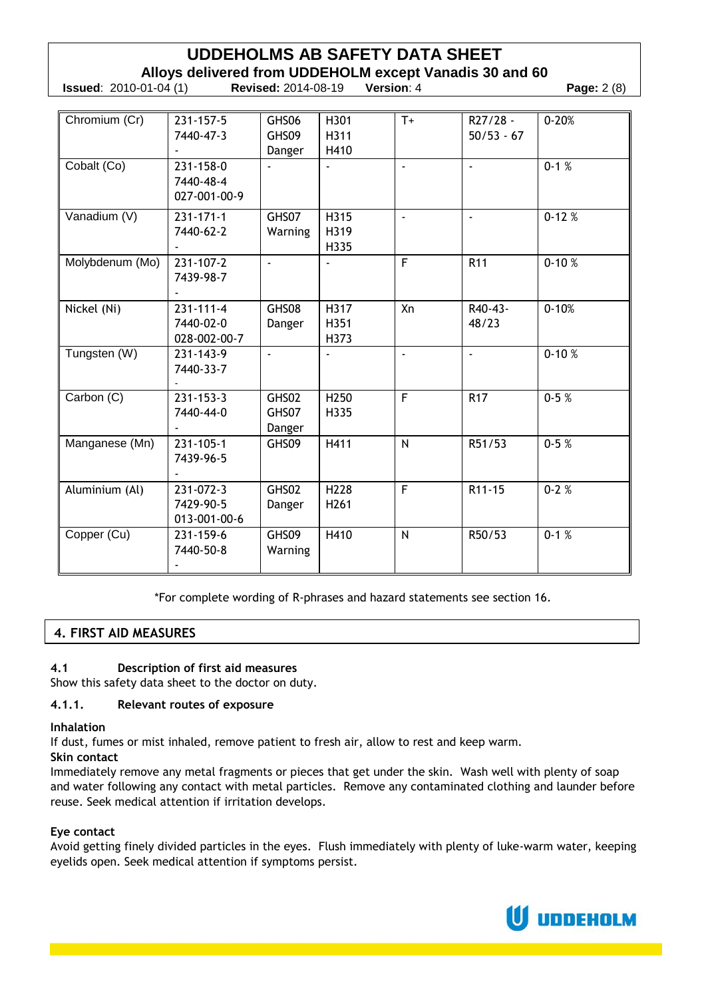# **UDDEHOLMS AB SAFETY DATA SHEET Alloys delivered from UDDEHOLM except Vanadis 30 and 60 Issued**: 2010-01-04 (1) **Revised:** 2014-08-19 **Version**: 4 **Page:** 2 (8)

| Chromium (Cr)   | $231 - 157 - 5$ | GHS06                    | H301             | $T+$           | R27/28 -        | $0 - 20%$ |
|-----------------|-----------------|--------------------------|------------------|----------------|-----------------|-----------|
|                 | 7440-47-3       | GHS09                    | H311             |                | $50/53 - 67$    |           |
|                 |                 | Danger                   | H410             |                |                 |           |
| Cobalt (Co)     | 231-158-0       |                          | $\overline{a}$   | $\Box$         | $\mathcal{L}$   | $0-1\%$   |
|                 | 7440-48-4       |                          |                  |                |                 |           |
|                 | 027-001-00-9    |                          |                  |                |                 |           |
| Vanadium (V)    | $231 - 171 - 1$ | GHS07                    | H315             | $\blacksquare$ | $\mathbf{r}$    | $0-12%$   |
|                 | 7440-62-2       | Warning                  | H319             |                |                 |           |
|                 |                 |                          | H335             |                |                 |           |
| Molybdenum (Mo) | 231-107-2       | $\overline{a}$           |                  | F              | R <sub>11</sub> | $0-10%$   |
|                 | 7439-98-7       |                          |                  |                |                 |           |
|                 |                 |                          |                  |                |                 |           |
| Nickel (Ni)     | $231 - 111 - 4$ | GHS08                    | H317             | Xn             | R40-43-         | $0 - 10%$ |
|                 | 7440-02-0       | Danger                   | H351             |                | 48/23           |           |
|                 | 028-002-00-7    |                          | H373             |                |                 |           |
| Tungsten (W)    | 231-143-9       | $\overline{\phantom{a}}$ |                  | $\sim$         | $\sim$          | $0-10%$   |
|                 | 7440-33-7       |                          |                  |                |                 |           |
|                 |                 |                          |                  |                |                 |           |
| Carbon (C)      | $231 - 153 - 3$ | GHS02                    | H <sub>250</sub> | F              | <b>R17</b>      | $0-5%$    |
|                 | 7440-44-0       | GHS07                    | H335             |                |                 |           |
|                 |                 | Danger                   |                  |                |                 |           |
| Manganese (Mn)  | $231 - 105 - 1$ | GHS09                    | H411             | N              | R51/53          | $0-5%$    |
|                 | 7439-96-5       |                          |                  |                |                 |           |
|                 |                 |                          |                  |                |                 |           |
| Aluminium (Al)  | 231-072-3       | GHS02                    | H228             | $\overline{F}$ | R11-15          | $0-2%$    |
|                 | 7429-90-5       | Danger                   | H261             |                |                 |           |
|                 | 013-001-00-6    |                          |                  |                |                 |           |
| Copper (Cu)     | 231-159-6       | GHS09                    | H410             | N              | R50/53          | $0-1%$    |
|                 | 7440-50-8       | Warning                  |                  |                |                 |           |
|                 |                 |                          |                  |                |                 |           |

\*For complete wording of R-phrases and hazard statements see section 16.

# **4. FIRST AID MEASURES**

# **4.1 Description of first aid measures**

Show this safety data sheet to the doctor on duty.

#### **4.1.1. Relevant routes of exposure**

**Inhalation**

If dust, fumes or mist inhaled, remove patient to fresh air, allow to rest and keep warm.

**Skin contact**

Immediately remove any metal fragments or pieces that get under the skin. Wash well with plenty of soap and water following any contact with metal particles. Remove any contaminated clothing and launder before reuse. Seek medical attention if irritation develops.

#### **Eye contact**

Avoid getting finely divided particles in the eyes. Flush immediately with plenty of luke-warm water, keeping eyelids open. Seek medical attention if symptoms persist.

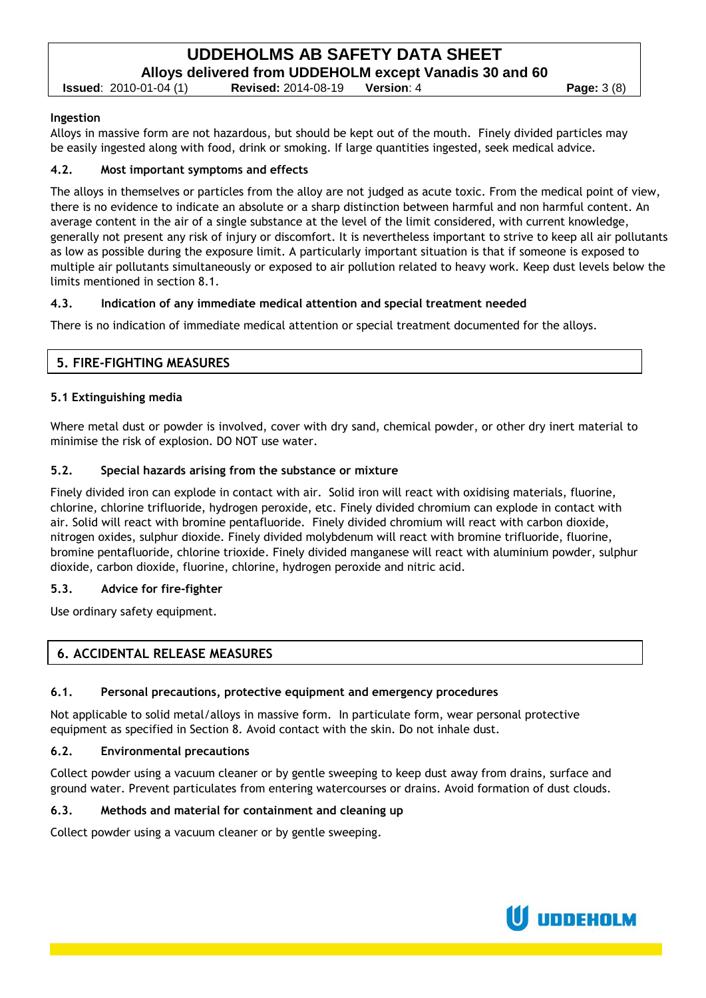# **UDDEHOLMS AB SAFETY DATA SHEET Alloys delivered from UDDEHOLM except Vanadis 30 and 60**

**Issued**: 2010-01-04 (1) **Revised:** 2014-08-19 **Version**: 4 **Page:** 3 (8)

#### **Ingestion**

Alloys in massive form are not hazardous, but should be kept out of the mouth. Finely divided particles may be easily ingested along with food, drink or smoking. If large quantities ingested, seek medical advice.

#### **4.2. Most important symptoms and effects**

The alloys in themselves or particles from the alloy are not judged as acute toxic. From the medical point of view, there is no evidence to indicate an absolute or a sharp distinction between harmful and non harmful content. An average content in the air of a single substance at the level of the limit considered, with current knowledge, generally not present any risk of injury or discomfort. It is nevertheless important to strive to keep all air pollutants as low as possible during the exposure limit. A particularly important situation is that if someone is exposed to multiple air pollutants simultaneously or exposed to air pollution related to heavy work. Keep dust levels below the limits mentioned in section 8.1.

#### **4.3. Indication of any immediate medical attention and special treatment needed**

There is no indication of immediate medical attention or special treatment documented for the alloys.

# **5. FIRE-FIGHTING MEASURES**

#### **5.1 Extinguishing media**

Where metal dust or powder is involved, cover with dry sand, chemical powder, or other dry inert material to minimise the risk of explosion. DO NOT use water.

#### **5.2. Special hazards arising from the substance or mixture**

Finely divided iron can explode in contact with air. Solid iron will react with oxidising materials, fluorine, chlorine, chlorine trifluoride, hydrogen peroxide, etc. Finely divided chromium can explode in contact with air. Solid will react with bromine pentafluoride. Finely divided chromium will react with carbon dioxide, nitrogen oxides, sulphur dioxide. Finely divided molybdenum will react with bromine trifluoride, fluorine, bromine pentafluoride, chlorine trioxide. Finely divided manganese will react with aluminium powder, sulphur dioxide, carbon dioxide, fluorine, chlorine, hydrogen peroxide and nitric acid.

#### **5.3. Advice for fire-fighter**

Use ordinary safety equipment.

# **6. ACCIDENTAL RELEASE MEASURES**

#### **6.1. Personal precautions, protective equipment and emergency procedures**

Not applicable to solid metal/alloys in massive form. In particulate form, wear personal protective equipment as specified in Section 8. Avoid contact with the skin. Do not inhale dust.

#### **6.2. Environmental precautions**

Collect powder using a vacuum cleaner or by gentle sweeping to keep dust away from drains, surface and ground water. Prevent particulates from entering watercourses or drains. Avoid formation of dust clouds.

#### **6.3. Methods and material for containment and cleaning up**

Collect powder using a vacuum cleaner or by gentle sweeping.

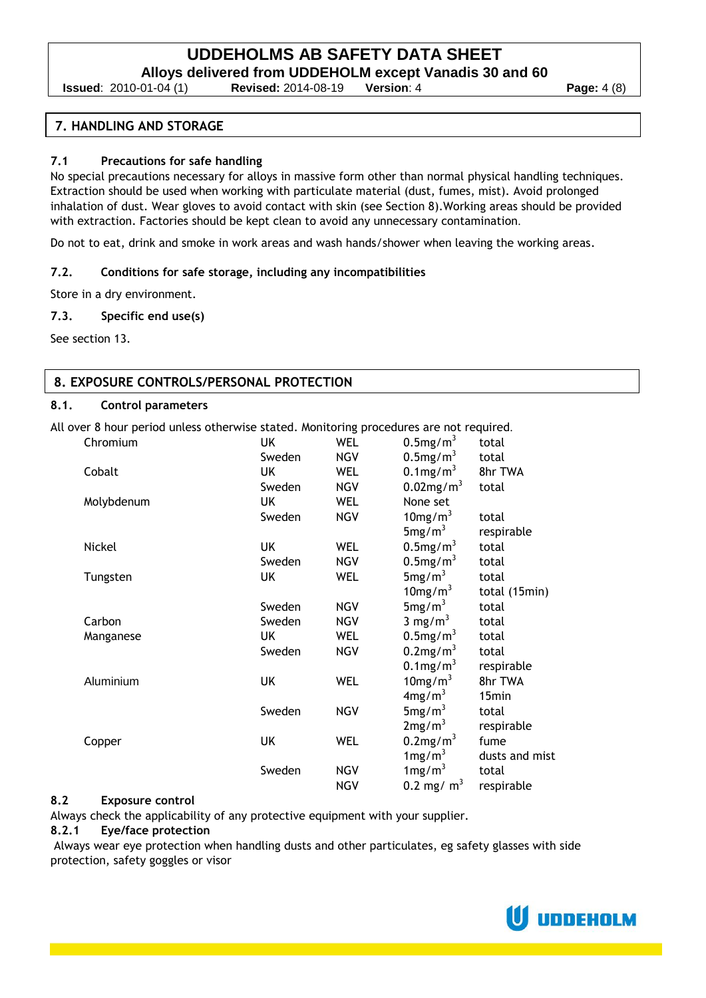**Alloys delivered from UDDEHOLM except Vanadis 30 and 60**

**Issued**: 2010-01-04 (1) **Revised:** 2014-08-19 **Version**: 4 **Page:** 4 (8)

### **7. HANDLING AND STORAGE**

#### **7.1 Precautions for safe handling**

No special precautions necessary for alloys in massive form other than normal physical handling techniques. Extraction should be used when working with particulate material (dust, fumes, mist). Avoid prolonged inhalation of dust. Wear gloves to avoid contact with skin (see Section 8).Working areas should be provided with extraction. Factories should be kept clean to avoid any unnecessary contamination.

Do not to eat, drink and smoke in work areas and wash hands/shower when leaving the working areas.

#### **7.2. Conditions for safe storage, including any incompatibilities**

Store in a dry environment.

#### **7.3. Specific end use(s)**

See section 13.

#### **8. EXPOSURE CONTROLS/PERSONAL PROTECTION**

#### **8.1. Control parameters**

All over 8 hour period unless otherwise stated. Monitoring procedures are not required.

| Chromium   | UK     | <b>WEL</b> | $0.5$ mg/m <sup>3</sup>  | total          |
|------------|--------|------------|--------------------------|----------------|
|            | Sweden | <b>NGV</b> | $0.5$ mg/m <sup>3</sup>  | total          |
| Cobalt     | UK     | <b>WEL</b> | $0.1$ mg/m <sup>3</sup>  | 8hr TWA        |
|            | Sweden | <b>NGV</b> | $0.02$ mg/m <sup>3</sup> | total          |
| Molybdenum | UK     | <b>WEL</b> | None set                 |                |
|            | Sweden | <b>NGV</b> | $10$ mg/m <sup>3</sup>   | total          |
|            |        |            | 5mg/m <sup>3</sup>       | respirable     |
| Nickel     | UK     | WEL        | $0.5$ mg/m <sup>3</sup>  | total          |
|            | Sweden | <b>NGV</b> | $0.5$ mg/m <sup>3</sup>  | total          |
| Tungsten   | UK     | <b>WEL</b> | 5mg/m <sup>3</sup>       | total          |
|            |        |            | $10$ mg/m <sup>3</sup>   | total (15min)  |
|            | Sweden | <b>NGV</b> | 5mg/m <sup>3</sup>       | total          |
| Carbon     | Sweden | <b>NGV</b> | 3 mg/m <sup>3</sup>      | total          |
| Manganese  | UK     | <b>WEL</b> | $0.5$ mg/m <sup>3</sup>  | total          |
|            | Sweden | <b>NGV</b> | $0.2$ mg/m <sup>3</sup>  | total          |
|            |        |            | $0.1$ mg/m <sup>3</sup>  | respirable     |
| Aluminium  | UK     | <b>WEL</b> | $10$ mg/m <sup>3</sup>   | 8hr TWA        |
|            |        |            | 4mg/m <sup>3</sup>       | 15min          |
|            | Sweden | <b>NGV</b> | 5mg/m <sup>3</sup>       | total          |
|            |        |            | 2mg/m <sup>3</sup>       | respirable     |
| Copper     | UK     | <b>WEL</b> | $0.2$ mg/m <sup>3</sup>  | fume           |
|            |        |            | $1 \text{mg/m}^3$        | dusts and mist |
|            | Sweden | <b>NGV</b> | $1 \text{mg/m}^3$        | total          |
|            |        | <b>NGV</b> | 0.2 mg/ $m3$             | respirable     |

#### **8.2 Exposure control**

Always check the applicability of any protective equipment with your supplier.

#### **8.2.1 Eye/face protection**

Always wear eye protection when handling dusts and other particulates, eg safety glasses with side protection, safety goggles or visor

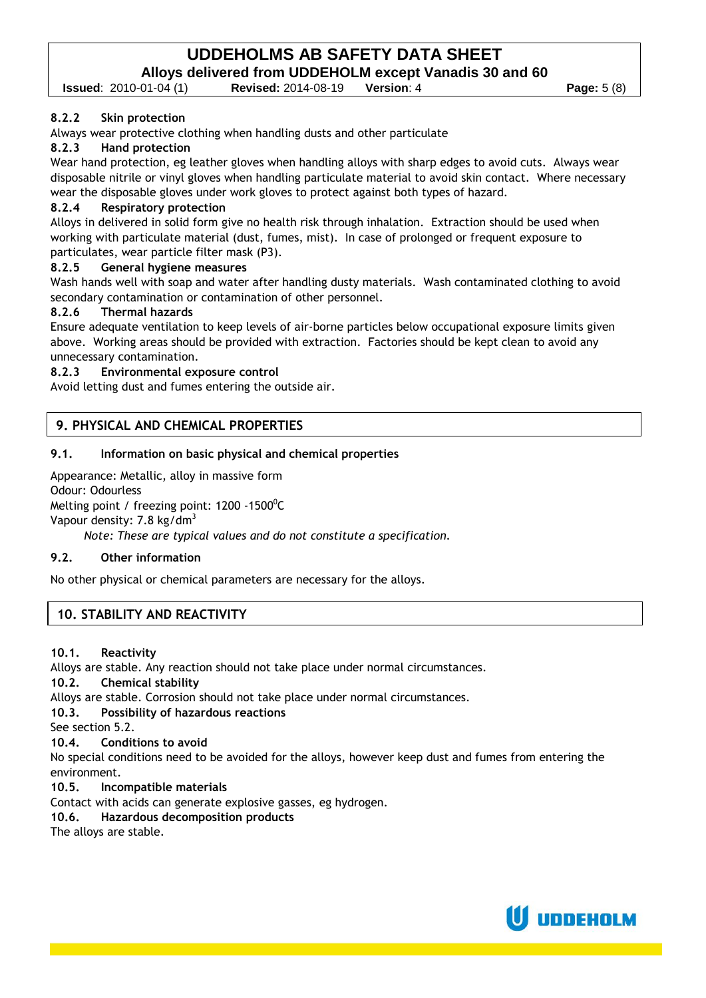**Issued**: 2010-01-04 (1) **Revised:** 2014-08-19 **Version**: 4 **Page:** 5 (8)

#### **8.2.2 Skin protection**

Always wear protective clothing when handling dusts and other particulate

#### **8.2.3 Hand protection**

Wear hand protection, eg leather gloves when handling alloys with sharp edges to avoid cuts. Always wear disposable nitrile or vinyl gloves when handling particulate material to avoid skin contact. Where necessary wear the disposable gloves under work gloves to protect against both types of hazard.

#### **8.2.4 Respiratory protection**

Alloys in delivered in solid form give no health risk through inhalation. Extraction should be used when working with particulate material (dust, fumes, mist). In case of prolonged or frequent exposure to particulates, wear particle filter mask (P3).

#### **8.2.5 General hygiene measures**

Wash hands well with soap and water after handling dusty materials. Wash contaminated clothing to avoid secondary contamination or contamination of other personnel.

#### **8.2.6 Thermal hazards**

Ensure adequate ventilation to keep levels of air-borne particles below occupational exposure limits given above. Working areas should be provided with extraction. Factories should be kept clean to avoid any unnecessary contamination.

#### **8.2.3 Environmental exposure control**

Avoid letting dust and fumes entering the outside air.

# **9. PHYSICAL AND CHEMICAL PROPERTIES**

#### **9.1. Information on basic physical and chemical properties**

Appearance: Metallic, alloy in massive form

Odour: Odourless

Melting point / freezing point: 1200 -1500 $^{\rm o}$ C

Vapour density:  $7.8 \text{ kg/dm}^3$ 

*Note: These are typical values and do not constitute a specification.*

#### **9.2. Other information**

No other physical or chemical parameters are necessary for the alloys.

# **10. STABILITY AND REACTIVITY**

**10.1. Reactivity**

Alloys are stable. Any reaction should not take place under normal circumstances.

**10.2. Chemical stability**

Alloys are stable. Corrosion should not take place under normal circumstances.

**10.3. Possibility of hazardous reactions**

See section 5.2.

**10.4. Conditions to avoid**

No special conditions need to be avoided for the alloys, however keep dust and fumes from entering the environment.

**10.5. Incompatible materials**

Contact with acids can generate explosive gasses, eg hydrogen.

**10.6. Hazardous decomposition products**

The alloys are stable.

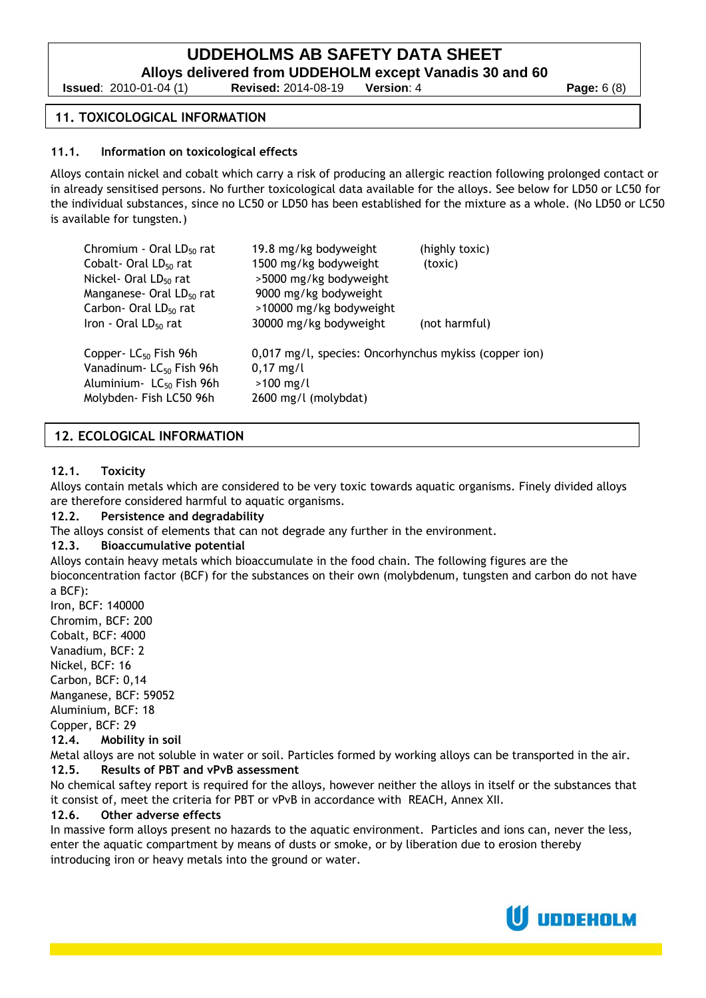**Alloys delivered from UDDEHOLM except Vanadis 30 and 60**

**Issued**: 2010-01-04 (1) **Revised:** 2014-08-19 **Version**: 4 **Page:** 6 (8)

## **11. TOXICOLOGICAL INFORMATION**

#### **11.1. Information on toxicological effects**

Alloys contain nickel and cobalt which carry a risk of producing an allergic reaction following prolonged contact or in already sensitised persons. No further toxicological data available for the alloys. See below for LD50 or LC50 for the individual substances, since no LC50 or LD50 has been established for the mixture as a whole. (No LD50 or LC50 is available for tungsten.)

| Chromium - Oral LD <sub>50</sub> rat<br>Cobalt- Oral LD <sub>50</sub> rat<br>Nickel- Oral LD <sub>50</sub> rat<br>Manganese- Oral LD <sub>50</sub> rat<br>Carbon- Oral LD <sub>50</sub> rat<br>Iron - Oral $LD_{50}$ rat | 19.8 mg/kg bodyweight<br>1500 mg/kg bodyweight<br>>5000 mg/kg bodyweight<br>9000 mg/kg bodyweight<br>>10000 mg/kg bodyweight<br>30000 mg/kg bodyweight | (highly toxic)<br>(toxic)<br>(not harmful) |
|--------------------------------------------------------------------------------------------------------------------------------------------------------------------------------------------------------------------------|--------------------------------------------------------------------------------------------------------------------------------------------------------|--------------------------------------------|
| Copper- $LC_{50}$ Fish 96h<br>Vanadinum-LC <sub>50</sub> Fish 96h<br>Aluminium - LC <sub>50</sub> Fish 96h<br>Molybden- Fish LC50 96h                                                                                    | 0,017 mg/l, species: Oncorhynchus mykiss (copper ion)<br>$0,17 \text{ mg/l}$<br>$>100$ mg/l<br>2600 mg/l (molybdat)                                    |                                            |

# **12. ECOLOGICAL INFORMATION**

#### **12.1. Toxicity**

Alloys contain metals which are considered to be very toxic towards aquatic organisms. Finely divided alloys are therefore considered harmful to aquatic organisms.

#### **12.2. Persistence and degradability**

The alloys consist of elements that can not degrade any further in the environment.

# **12.3. Bioaccumulative potential**

Alloys contain heavy metals which bioaccumulate in the food chain. The following figures are the bioconcentration factor (BCF) for the substances on their own (molybdenum, tungsten and carbon do not have a BCF):

Iron, BCF: 140000 Chromim, BCF: 200 Cobalt, BCF: 4000 Vanadium, BCF: 2 Nickel, BCF: 16 Carbon, BCF: 0,14 Manganese, BCF: 59052 Aluminium, BCF: 18

Copper, BCF: 29

**12.4. Mobility in soil**

Metal alloys are not soluble in water or soil. Particles formed by working alloys can be transported in the air. **12.5. Results of PBT and vPvB assessment**

No chemical saftey report is required for the alloys, however neither the alloys in itself or the substances that it consist of, meet the criteria for PBT or vPvB in accordance with REACH, Annex XII.

#### **12.6. Other adverse effects**

In massive form alloys present no hazards to the aquatic environment. Particles and ions can, never the less, enter the aquatic compartment by means of dusts or smoke, or by liberation due to erosion thereby introducing iron or heavy metals into the ground or water.

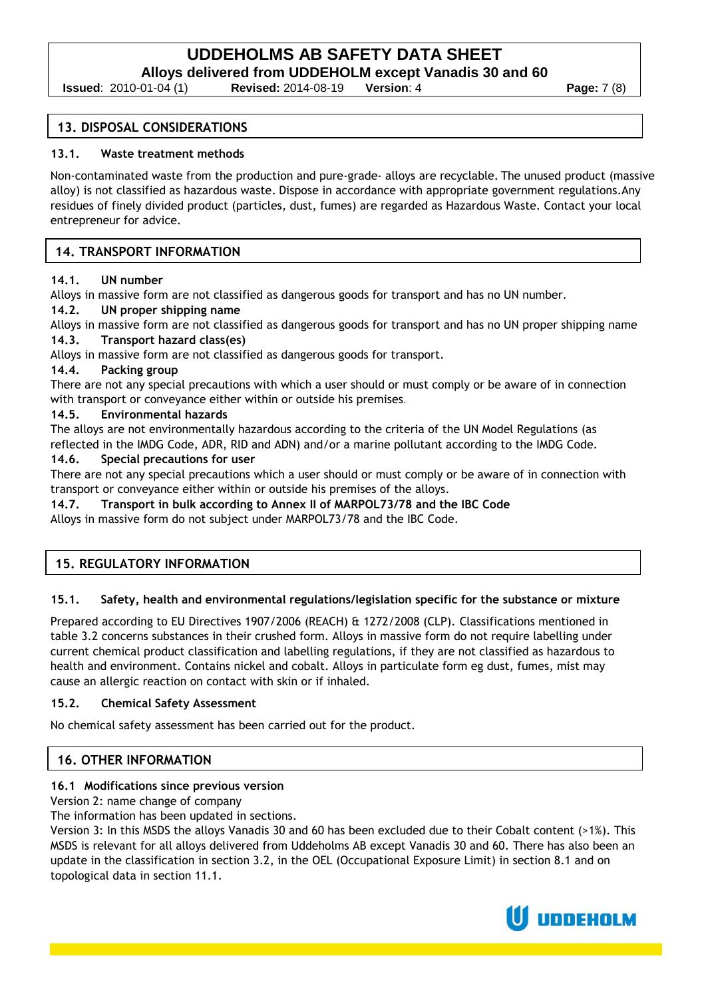**Alloys delivered from UDDEHOLM except Vanadis 30 and 60**

**Issued**: 2010-01-04 (1) **Revised:** 2014-08-19 **Version**: 4 **Page:** 7 (8)

#### **13. DISPOSAL CONSIDERATIONS**

#### **13.1. Waste treatment methods**

Non-contaminated waste from the production and pure-grade- alloys are recyclable. The unused product (massive alloy) is not classified as hazardous waste. Dispose in accordance with appropriate government regulations.Any residues of finely divided product (particles, dust, fumes) are regarded as Hazardous Waste. Contact your local entrepreneur for advice.

# **14. TRANSPORT INFORMATION**

#### **14.1. UN number**

Alloys in massive form are not classified as dangerous goods for transport and has no UN number.

#### **14.2. UN proper shipping name**

Alloys in massive form are not classified as dangerous goods for transport and has no UN proper shipping name **14.3. Transport hazard class(es)**

Alloys in massive form are not classified as dangerous goods for transport.

#### **14.4. Packing group**

There are not any special precautions with which a user should or must comply or be aware of in connection with transport or conveyance either within or outside his premises.

#### **14.5. Environmental hazards**

The alloys are not environmentally hazardous according to the criteria of the UN Model Regulations (as reflected in the IMDG Code, ADR, RID and ADN) and/or a marine pollutant according to the IMDG Code.

# **14.6. Special precautions for user**

There are not any special precautions which a user should or must comply or be aware of in connection with transport or conveyance either within or outside his premises of the alloys.

# **14.7. Transport in bulk according to Annex II of MARPOL73/78 and the IBC Code**

Alloys in massive form do not subject under MARPOL73/78 and the IBC Code.

# **15. REGULATORY INFORMATION**

#### **15.1. Safety, health and environmental regulations/legislation specific for the substance or mixture**

Prepared according to EU Directives 1907/2006 (REACH) & 1272/2008 (CLP). Classifications mentioned in table 3.2 concerns substances in their crushed form. Alloys in massive form do not require labelling under current chemical product classification and labelling regulations, if they are not classified as hazardous to health and environment. Contains nickel and cobalt. Alloys in particulate form eg dust, fumes, mist may cause an allergic reaction on contact with skin or if inhaled.

#### **15.2. Chemical Safety Assessment**

No chemical safety assessment has been carried out for the product.

# **16. OTHER INFORMATION**

#### **16.1 Modifications since previous version**

Version 2: name change of company

The information has been updated in sections.

Version 3: In this MSDS the alloys Vanadis 30 and 60 has been excluded due to their Cobalt content (>1%). This MSDS is relevant for all alloys delivered from Uddeholms AB except Vanadis 30 and 60. There has also been an update in the classification in section 3.2, in the OEL (Occupational Exposure Limit) in section 8.1 and on topological data in section 11.1.